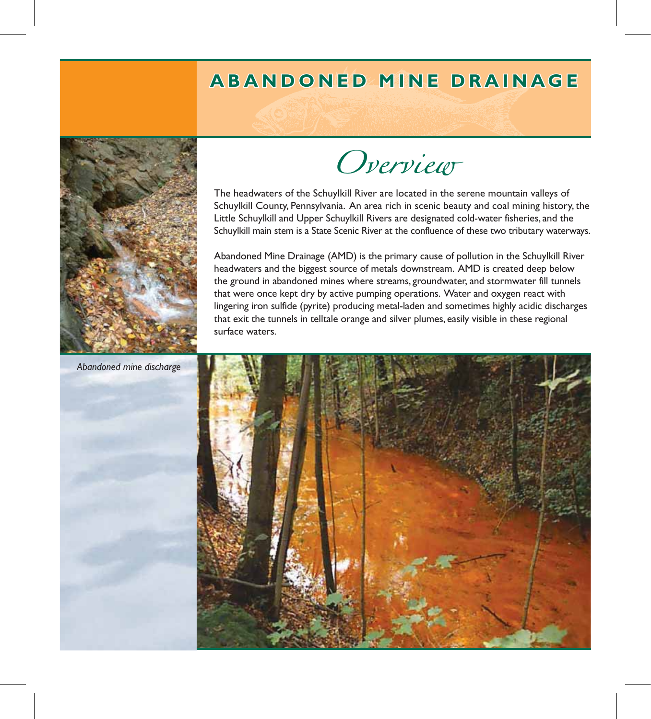## **ABANDONED MINE DRAINAGE A B A N D O N E D M I N E D R A I N A G E**



Overview

The headwaters of the Schuylkill River are located in the serene mountain valleys of Schuylkill County, Pennsylvania. An area rich in scenic beauty and coal mining history, the Little Schuylkill and Upper Schuylkill Rivers are designated cold-water fisheries, and the Schuylkill main stem is a State Scenic River at the confluence of these two tributary waterways.

Abandoned Mine Drainage (AMD) is the primary cause of pollution in the Schuylkill River headwaters and the biggest source of metals downstream. AMD is created deep below the ground in abandoned mines where streams, groundwater, and stormwater fill tunnels that were once kept dry by active pumping operations. Water and oxygen react with lingering iron sulfide (pyrite) producing metal-laden and sometimes highly acidic discharges that exit the tunnels in telltale orange and silver plumes, easily visible in these regional surface waters.



*Abandoned mine discharge*